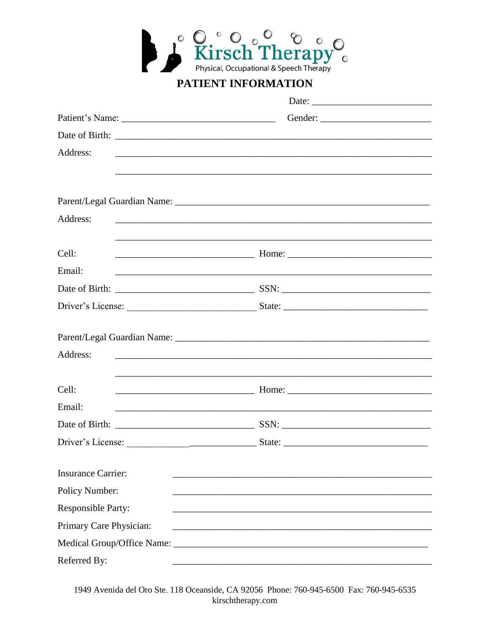| <b>Kirsch Therapy</b>                   |  |  |
|-----------------------------------------|--|--|
| Physical, Occupational & Speech Therapy |  |  |

## PATIENT INFORMATION

| Address:                  |                                                                                   |
|---------------------------|-----------------------------------------------------------------------------------|
|                           |                                                                                   |
|                           |                                                                                   |
|                           |                                                                                   |
| Address:                  |                                                                                   |
|                           |                                                                                   |
| Cell:                     |                                                                                   |
| Email:                    |                                                                                   |
|                           |                                                                                   |
|                           |                                                                                   |
|                           |                                                                                   |
|                           |                                                                                   |
| Address:                  |                                                                                   |
|                           |                                                                                   |
| Cell:                     |                                                                                   |
| Email:                    | ,我们也不能在这里的时候,我们也不能在这里的时候,我们也不能会在这里的时候,我们也不能会在这里的时候,我们也不能会在这里的时候,我们也不能会在这里的时候,我们也不 |
|                           |                                                                                   |
|                           |                                                                                   |
|                           |                                                                                   |
| <b>Insurance Carrier:</b> |                                                                                   |
| Policy Number:            |                                                                                   |
| <b>Responsible Party:</b> |                                                                                   |
| Primary Care Physician:   |                                                                                   |
|                           |                                                                                   |
| Referred By:              |                                                                                   |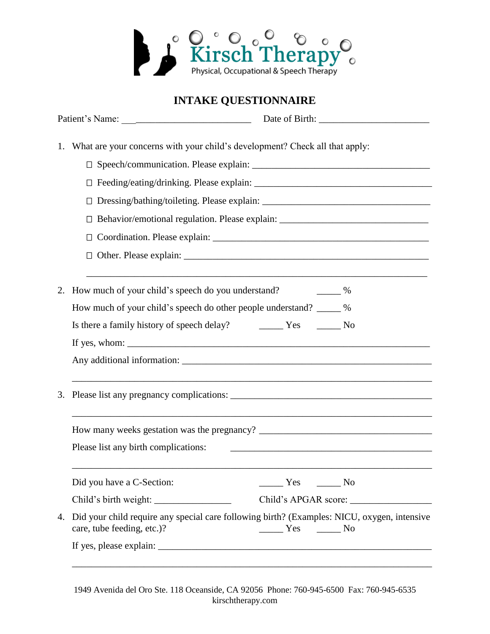

## **INTAKE QUESTIONNAIRE**

| 1.     | What are your concerns with your child's development? Check all that apply: |                                                                                                                                                                                                                                                                                                                                                                                                                                                                                                                                     |  |  |
|--------|-----------------------------------------------------------------------------|-------------------------------------------------------------------------------------------------------------------------------------------------------------------------------------------------------------------------------------------------------------------------------------------------------------------------------------------------------------------------------------------------------------------------------------------------------------------------------------------------------------------------------------|--|--|
| $\Box$ |                                                                             |                                                                                                                                                                                                                                                                                                                                                                                                                                                                                                                                     |  |  |
|        | $\Box$                                                                      |                                                                                                                                                                                                                                                                                                                                                                                                                                                                                                                                     |  |  |
|        |                                                                             | □ Dressing/bathing/toileting. Please explain: __________________________________                                                                                                                                                                                                                                                                                                                                                                                                                                                    |  |  |
|        |                                                                             | □ Behavior/emotional regulation. Please explain: _______________________________                                                                                                                                                                                                                                                                                                                                                                                                                                                    |  |  |
|        |                                                                             |                                                                                                                                                                                                                                                                                                                                                                                                                                                                                                                                     |  |  |
|        |                                                                             |                                                                                                                                                                                                                                                                                                                                                                                                                                                                                                                                     |  |  |
|        |                                                                             |                                                                                                                                                                                                                                                                                                                                                                                                                                                                                                                                     |  |  |
| 2.     | How much of your child's speech do you understand?                          | $\frac{9}{6}$                                                                                                                                                                                                                                                                                                                                                                                                                                                                                                                       |  |  |
|        | How much of your child's speech do other people understand? _____ %         |                                                                                                                                                                                                                                                                                                                                                                                                                                                                                                                                     |  |  |
|        | Is there a family history of speech delay? No No No                         |                                                                                                                                                                                                                                                                                                                                                                                                                                                                                                                                     |  |  |
|        |                                                                             |                                                                                                                                                                                                                                                                                                                                                                                                                                                                                                                                     |  |  |
|        |                                                                             |                                                                                                                                                                                                                                                                                                                                                                                                                                                                                                                                     |  |  |
| 3.     |                                                                             |                                                                                                                                                                                                                                                                                                                                                                                                                                                                                                                                     |  |  |
|        |                                                                             |                                                                                                                                                                                                                                                                                                                                                                                                                                                                                                                                     |  |  |
|        | Please list any birth complications:                                        | <u> 1989 - Johann Harry Harry Harry Harry Harry Harry Harry Harry Harry Harry Harry Harry Harry Harry Harry Harry</u>                                                                                                                                                                                                                                                                                                                                                                                                               |  |  |
|        | Did you have a C-Section:                                                   | $Yes$ No                                                                                                                                                                                                                                                                                                                                                                                                                                                                                                                            |  |  |
|        |                                                                             |                                                                                                                                                                                                                                                                                                                                                                                                                                                                                                                                     |  |  |
|        | care, tube feeding, etc.)?                                                  | 4. Did your child require any special care following birth? (Examples: NICU, oxygen, intensive<br>$\frac{1}{\sqrt{1-\frac{1}{\sqrt{1-\frac{1}{\sqrt{1-\frac{1}{\sqrt{1-\frac{1}{\sqrt{1-\frac{1}{\sqrt{1-\frac{1}{\sqrt{1-\frac{1}{\sqrt{1-\frac{1}{\sqrt{1-\frac{1}{\sqrt{1-\frac{1}{\sqrt{1-\frac{1}{\sqrt{1-\frac{1}{\sqrt{1-\frac{1}{\sqrt{1-\frac{1}{\sqrt{1-\frac{1}{\sqrt{1-\frac{1}{\sqrt{1-\frac{1}{\sqrt{1-\frac{1}{\sqrt{1-\frac{1}{\sqrt{1-\frac{1}{\sqrt{1-\frac{1}{\sqrt{1-\frac{1}{\sqrt{1-\frac{1}{\sqrt{1-\frac{1$ |  |  |
|        |                                                                             |                                                                                                                                                                                                                                                                                                                                                                                                                                                                                                                                     |  |  |
|        |                                                                             |                                                                                                                                                                                                                                                                                                                                                                                                                                                                                                                                     |  |  |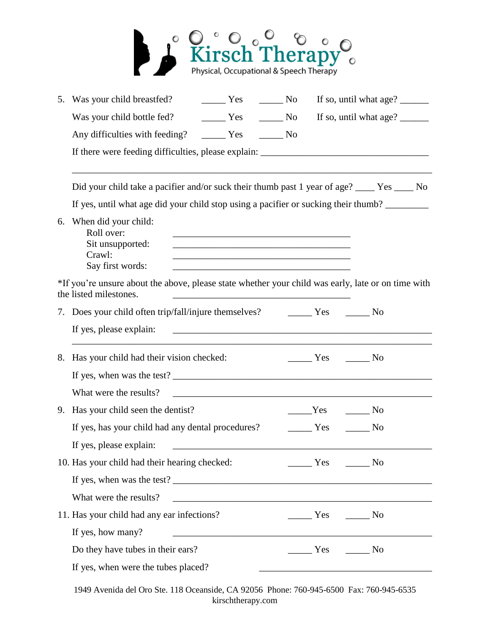

| 5. Was your child breastfed?                                                                                                 | $\frac{1}{\sqrt{1-\frac{1}{\sqrt{1-\frac{1}{\sqrt{1-\frac{1}{\sqrt{1-\frac{1}{\sqrt{1-\frac{1}{\sqrt{1-\frac{1}{\sqrt{1-\frac{1}{\sqrt{1-\frac{1}{\sqrt{1-\frac{1}{\sqrt{1-\frac{1}{\sqrt{1-\frac{1}{\sqrt{1-\frac{1}{\sqrt{1-\frac{1}{\sqrt{1-\frac{1}{\sqrt{1-\frac{1}{\sqrt{1-\frac{1}{\sqrt{1-\frac{1}{\sqrt{1-\frac{1}{\sqrt{1-\frac{1}{\sqrt{1-\frac{1}{\sqrt{1-\frac{1}{\sqrt{1-\frac{1}{\sqrt{1-\frac{1}{\sqrt{1-\frac{1$ |                                                                                                                                                                                                                                                                                                                                                                                                                                   | If so, until what age? |
|------------------------------------------------------------------------------------------------------------------------------|-----------------------------------------------------------------------------------------------------------------------------------------------------------------------------------------------------------------------------------------------------------------------------------------------------------------------------------------------------------------------------------------------------------------------------------|-----------------------------------------------------------------------------------------------------------------------------------------------------------------------------------------------------------------------------------------------------------------------------------------------------------------------------------------------------------------------------------------------------------------------------------|------------------------|
|                                                                                                                              |                                                                                                                                                                                                                                                                                                                                                                                                                                   |                                                                                                                                                                                                                                                                                                                                                                                                                                   |                        |
| Any difficulties with feeding? ________ Yes ________ No                                                                      |                                                                                                                                                                                                                                                                                                                                                                                                                                   |                                                                                                                                                                                                                                                                                                                                                                                                                                   |                        |
|                                                                                                                              |                                                                                                                                                                                                                                                                                                                                                                                                                                   |                                                                                                                                                                                                                                                                                                                                                                                                                                   |                        |
| Did your child take a pacifier and/or suck their thumb past 1 year of age? ____ Yes ____ No                                  |                                                                                                                                                                                                                                                                                                                                                                                                                                   |                                                                                                                                                                                                                                                                                                                                                                                                                                   |                        |
| If yes, until what age did your child stop using a pacifier or sucking their thumb?                                          |                                                                                                                                                                                                                                                                                                                                                                                                                                   |                                                                                                                                                                                                                                                                                                                                                                                                                                   |                        |
| 6. When did your child:<br>Roll over:<br>Sit unsupported:<br>Crawl:<br>Say first words:                                      | <u> 1989 - Johann Barn, mars ann an t-Amhain an t-Amhain ann an t-Amhain an t-Amhain an t-Amhain an t-Amhain an t-</u>                                                                                                                                                                                                                                                                                                            |                                                                                                                                                                                                                                                                                                                                                                                                                                   |                        |
| *If you're unsure about the above, please state whether your child was early, late or on time with<br>the listed milestones. | <u> 2000 - Jan James James Barnett, amerikan bahasa perangan pengaran pengaran pengaran pengaran pengaran pengara</u>                                                                                                                                                                                                                                                                                                             |                                                                                                                                                                                                                                                                                                                                                                                                                                   |                        |
| 7. Does your child often trip/fall/injure themselves? The True Yes The No                                                    |                                                                                                                                                                                                                                                                                                                                                                                                                                   |                                                                                                                                                                                                                                                                                                                                                                                                                                   |                        |
| If yes, please explain:<br>the control of the control of the control of the control of the control of                        |                                                                                                                                                                                                                                                                                                                                                                                                                                   |                                                                                                                                                                                                                                                                                                                                                                                                                                   |                        |
| 8. Has your child had their vision checked:                                                                                  |                                                                                                                                                                                                                                                                                                                                                                                                                                   | $\frac{1}{\sqrt{1-\frac{1}{\sqrt{1-\frac{1}{\sqrt{1-\frac{1}{\sqrt{1-\frac{1}{\sqrt{1-\frac{1}{\sqrt{1-\frac{1}{\sqrt{1-\frac{1}{\sqrt{1-\frac{1}{\sqrt{1-\frac{1}{\sqrt{1-\frac{1}{\sqrt{1-\frac{1}{\sqrt{1-\frac{1}{\sqrt{1-\frac{1}{\sqrt{1-\frac{1}{\sqrt{1-\frac{1}{\sqrt{1-\frac{1}{\sqrt{1-\frac{1}{\sqrt{1-\frac{1}{\sqrt{1-\frac{1}{\sqrt{1-\frac{1}{\sqrt{1-\frac{1}{\sqrt{1-\frac{1}{\sqrt{1-\frac{1}{\sqrt{1-\frac{1$ |                        |
|                                                                                                                              |                                                                                                                                                                                                                                                                                                                                                                                                                                   |                                                                                                                                                                                                                                                                                                                                                                                                                                   |                        |
|                                                                                                                              |                                                                                                                                                                                                                                                                                                                                                                                                                                   |                                                                                                                                                                                                                                                                                                                                                                                                                                   |                        |
| 9. Has your child seen the dentist?                                                                                          |                                                                                                                                                                                                                                                                                                                                                                                                                                   | $Yes$ No                                                                                                                                                                                                                                                                                                                                                                                                                          |                        |
| If yes, has your child had any dental procedures? The Mess Community Pess Community No                                       |                                                                                                                                                                                                                                                                                                                                                                                                                                   |                                                                                                                                                                                                                                                                                                                                                                                                                                   |                        |
| If yes, please explain:                                                                                                      |                                                                                                                                                                                                                                                                                                                                                                                                                                   |                                                                                                                                                                                                                                                                                                                                                                                                                                   |                        |
| 10. Has your child had their hearing checked:                                                                                |                                                                                                                                                                                                                                                                                                                                                                                                                                   | $\frac{1}{\sqrt{1-\frac{1}{2}}}$ Yes $\frac{1}{\sqrt{1-\frac{1}{2}}}$ No                                                                                                                                                                                                                                                                                                                                                          |                        |
| If yes, when was the test?                                                                                                   |                                                                                                                                                                                                                                                                                                                                                                                                                                   |                                                                                                                                                                                                                                                                                                                                                                                                                                   |                        |
| What were the results?                                                                                                       | <u> 1989 - Johann Harry Harry Harry Harry Harry Harry Harry Harry Harry Harry Harry Harry Harry Harry Harry Harry Harry Harry Harry Harry Harry Harry Harry Harry Harry Harry Harry Harry Harry Harry Harry Harry Harry Harry Ha</u>                                                                                                                                                                                              |                                                                                                                                                                                                                                                                                                                                                                                                                                   |                        |
| 11. Has your child had any ear infections?                                                                                   |                                                                                                                                                                                                                                                                                                                                                                                                                                   | $\frac{1}{\sqrt{1-\frac{1}{1-\frac{1}{1-\frac{1}{1-\frac{1}{1-\frac{1}{1-\frac{1}{1-\frac{1}{1-\frac{1}{1-\frac{1}{1-\frac{1}{1-\frac{1}{1-\frac{1}{1-\frac{1}{1-\frac{1}{1-\frac{1}{1-\frac{1}{1-\frac{1}{1-\frac{1}{1-\frac{1}{1-\frac{1}{1-\frac{1}{1-\frac{1}{1-\frac{1}{1-\frac{1}{1-\frac{1}{1-\frac{1}{1-\frac{1}{1-\frac{1}{1-\frac{1}{1-\frac{1}{1-\frac{1}{1-\frac{1}{1-\frac{1}{1-\frac{1}{1-\frac{1}{1-\$             |                        |
| If yes, how many?                                                                                                            | <u> 2000 - Jan James James James James James James James James James James James James James James James James J</u>                                                                                                                                                                                                                                                                                                              |                                                                                                                                                                                                                                                                                                                                                                                                                                   |                        |
| Do they have tubes in their ears?                                                                                            |                                                                                                                                                                                                                                                                                                                                                                                                                                   | $\frac{1}{\sqrt{1-\frac{1}{2}}}$ Yes $\frac{1}{\sqrt{1-\frac{1}{2}}}$ No                                                                                                                                                                                                                                                                                                                                                          |                        |
| If yes, when were the tubes placed?                                                                                          |                                                                                                                                                                                                                                                                                                                                                                                                                                   |                                                                                                                                                                                                                                                                                                                                                                                                                                   |                        |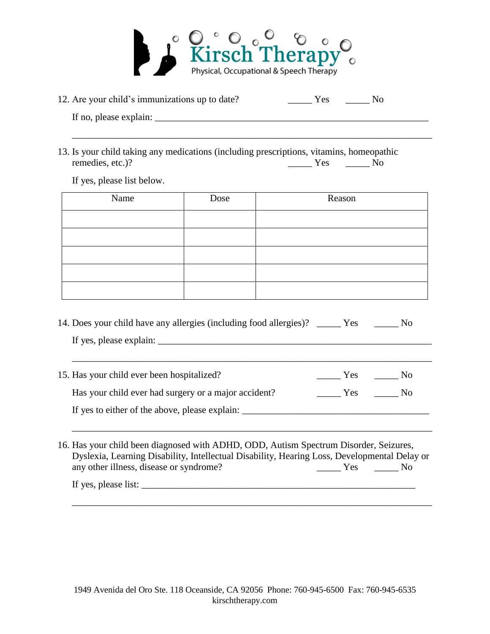

| 12. Are your child's immunizations up to date? | Yes. | - No |  |
|------------------------------------------------|------|------|--|
| If no, please explain:                         |      |      |  |

\_\_\_\_\_\_\_\_\_\_\_\_\_\_\_\_\_\_\_\_\_\_\_\_\_\_\_\_\_\_\_\_\_\_\_\_\_\_\_\_\_\_\_\_\_\_\_\_\_\_\_\_\_\_\_\_\_\_\_\_\_\_\_\_\_\_\_\_\_\_\_\_\_\_\_

13. Is your child taking any medications (including prescriptions, vitamins, homeopathic remedies, etc.)? <br> Tes \_\_\_\_\_ No

If yes, please list below.

| Name | Dose | Reason |
|------|------|--------|
|      |      |        |
|      |      |        |
|      |      |        |
|      |      |        |
|      |      |        |

| 15. Has your child ever been hospitalized?                                                                                                                                                                                       | $\frac{1}{\sqrt{1-\frac{1}{\sqrt{1-\frac{1}{\sqrt{1-\frac{1}{\sqrt{1-\frac{1}{\sqrt{1-\frac{1}{\sqrt{1-\frac{1}{\sqrt{1-\frac{1}{\sqrt{1-\frac{1}{\sqrt{1-\frac{1}{\sqrt{1-\frac{1}{\sqrt{1-\frac{1}{\sqrt{1-\frac{1}{\sqrt{1-\frac{1}{\sqrt{1-\frac{1}{\sqrt{1-\frac{1}{\sqrt{1-\frac{1}{\sqrt{1-\frac{1}{\sqrt{1-\frac{1}{\sqrt{1-\frac{1}{\sqrt{1-\frac{1}{\sqrt{1-\frac{1}{\sqrt{1-\frac{1}{\sqrt{1-\frac{1}{\sqrt{1-\frac{1$ |  |
|----------------------------------------------------------------------------------------------------------------------------------------------------------------------------------------------------------------------------------|-----------------------------------------------------------------------------------------------------------------------------------------------------------------------------------------------------------------------------------------------------------------------------------------------------------------------------------------------------------------------------------------------------------------------------------|--|
| Has your child ever had surgery or a major accident?                                                                                                                                                                             | $Yes$ No                                                                                                                                                                                                                                                                                                                                                                                                                          |  |
|                                                                                                                                                                                                                                  |                                                                                                                                                                                                                                                                                                                                                                                                                                   |  |
|                                                                                                                                                                                                                                  |                                                                                                                                                                                                                                                                                                                                                                                                                                   |  |
| 16. Has your child been diagnosed with ADHD, ODD, Autism Spectrum Disorder, Seizures,<br>Dyslexia, Learning Disability, Intellectual Disability, Hearing Loss, Developmental Delay or<br>any other illness, disease or syndrome? |                                                                                                                                                                                                                                                                                                                                                                                                                                   |  |
| If yes, please list: $\frac{1}{\sqrt{1-\frac{1}{2}} \cdot \frac{1}{2}}$                                                                                                                                                          |                                                                                                                                                                                                                                                                                                                                                                                                                                   |  |

\_\_\_\_\_\_\_\_\_\_\_\_\_\_\_\_\_\_\_\_\_\_\_\_\_\_\_\_\_\_\_\_\_\_\_\_\_\_\_\_\_\_\_\_\_\_\_\_\_\_\_\_\_\_\_\_\_\_\_\_\_\_\_\_\_\_\_\_\_\_\_\_\_\_\_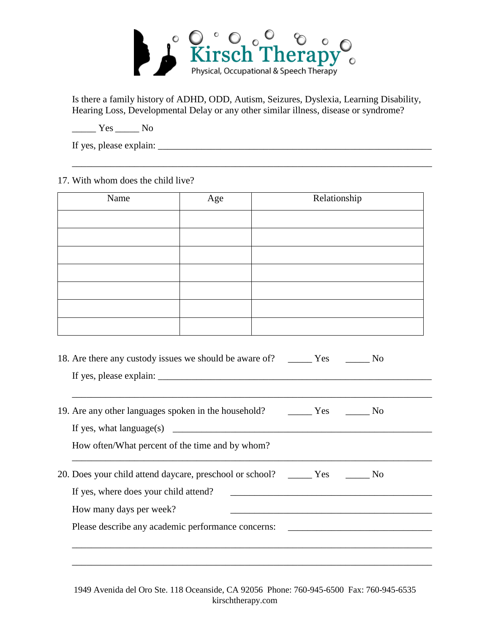

Is there a family history of ADHD, ODD, Autism, Seizures, Dyslexia, Learning Disability, Hearing Loss, Developmental Delay or any other similar illness, disease or syndrome?

 $Yes$  No

If yes, please explain:  $\frac{1}{\sqrt{1-\frac{1}{2}}\sqrt{1-\frac{1}{2}}\left(\frac{1}{2}-\frac{1}{2}\right)}$ 

17. With whom does the child live?

| Name | Age | Relationship |
|------|-----|--------------|
|      |     |              |
|      |     |              |
|      |     |              |
|      |     |              |
|      |     |              |
|      |     |              |
|      |     |              |

| 18. Are there any custody issues we should be aware of? | Y es | No |
|---------------------------------------------------------|------|----|
| If yes, please explain:                                 |      |    |

\_\_\_\_\_\_\_\_\_\_\_\_\_\_\_\_\_\_\_\_\_\_\_\_\_\_\_\_\_\_\_\_\_\_\_\_\_\_\_\_\_\_\_\_\_\_\_\_\_\_\_\_\_\_\_\_\_\_\_\_\_\_\_\_\_\_\_\_\_\_\_\_\_\_\_

\_\_\_\_\_\_\_\_\_\_\_\_\_\_\_\_\_\_\_\_\_\_\_\_\_\_\_\_\_\_\_\_\_\_\_\_\_\_\_\_\_\_\_\_\_\_\_\_\_\_\_\_\_\_\_\_\_\_\_\_\_\_\_\_\_\_\_\_\_\_\_\_\_\_\_

| 19. Are any other languages spoken in the household? | Yes |  |
|------------------------------------------------------|-----|--|
| If yes, what $language(s)$                           |     |  |

How often/What percent of the time and by whom?

| 20. Does your child attend daycare, preschool or school? | <b>Solution</b> Yes                         | N <sub>0</sub> |  |
|----------------------------------------------------------|---------------------------------------------|----------------|--|
| If yes, where does your child attend?                    |                                             |                |  |
| How many days per week?                                  |                                             |                |  |
| Please describe any academic performance concerns:       | <u> 1980 - Jan Samuel Barbara, martin a</u> |                |  |
|                                                          |                                             |                |  |

1949 Avenida del Oro Ste. 118 Oceanside, CA 92056 Phone: 760-945-6500 Fax: 760-945-6535 kirschtherapy.com

\_\_\_\_\_\_\_\_\_\_\_\_\_\_\_\_\_\_\_\_\_\_\_\_\_\_\_\_\_\_\_\_\_\_\_\_\_\_\_\_\_\_\_\_\_\_\_\_\_\_\_\_\_\_\_\_\_\_\_\_\_\_\_\_\_\_\_\_\_\_\_\_\_\_\_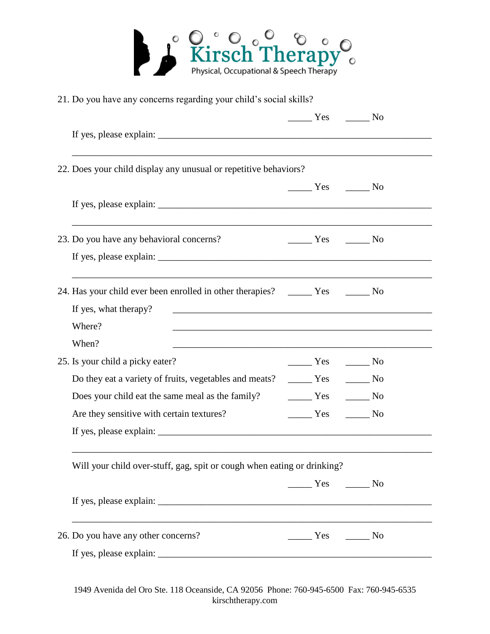

| 21. Do you have any concerns regarding your child's social skills?                                                                                                                                                                                                                                                                                                                                                                |  |  |  |  |
|-----------------------------------------------------------------------------------------------------------------------------------------------------------------------------------------------------------------------------------------------------------------------------------------------------------------------------------------------------------------------------------------------------------------------------------|--|--|--|--|
| $\frac{1}{\sqrt{1-\frac{1}{\sqrt{1-\frac{1}{\sqrt{1-\frac{1}{\sqrt{1-\frac{1}{\sqrt{1-\frac{1}{\sqrt{1-\frac{1}{\sqrt{1-\frac{1}{\sqrt{1-\frac{1}{\sqrt{1-\frac{1}{\sqrt{1-\frac{1}{\sqrt{1-\frac{1}{\sqrt{1-\frac{1}{\sqrt{1-\frac{1}{\sqrt{1-\frac{1}{\sqrt{1-\frac{1}{\sqrt{1-\frac{1}{\sqrt{1-\frac{1}{\sqrt{1-\frac{1}{\sqrt{1-\frac{1}{\sqrt{1-\frac{1}{\sqrt{1-\frac{1}{\sqrt{1-\frac{1}{\sqrt{1-\frac{1}{\sqrt{1-\frac{1$ |  |  |  |  |
|                                                                                                                                                                                                                                                                                                                                                                                                                                   |  |  |  |  |
|                                                                                                                                                                                                                                                                                                                                                                                                                                   |  |  |  |  |
| 22. Does your child display any unusual or repetitive behaviors?                                                                                                                                                                                                                                                                                                                                                                  |  |  |  |  |
| $\frac{1}{\sqrt{1-\frac{1}{\sqrt{1-\frac{1}{\sqrt{1-\frac{1}{\sqrt{1-\frac{1}{\sqrt{1-\frac{1}{\sqrt{1-\frac{1}{\sqrt{1-\frac{1}{\sqrt{1-\frac{1}{\sqrt{1-\frac{1}{\sqrt{1-\frac{1}{\sqrt{1-\frac{1}{\sqrt{1-\frac{1}{\sqrt{1-\frac{1}{\sqrt{1-\frac{1}{\sqrt{1-\frac{1}{\sqrt{1-\frac{1}{\sqrt{1-\frac{1}{\sqrt{1-\frac{1}{\sqrt{1-\frac{1}{\sqrt{1-\frac{1}{\sqrt{1-\frac{1}{\sqrt{1-\frac{1}{\sqrt{1-\frac{1}{\sqrt{1-\frac{1$ |  |  |  |  |
|                                                                                                                                                                                                                                                                                                                                                                                                                                   |  |  |  |  |
| $\frac{1}{\sqrt{1-\frac{1}{\sqrt{1-\frac{1}{\sqrt{1-\frac{1}{\sqrt{1-\frac{1}{\sqrt{1-\frac{1}{\sqrt{1-\frac{1}{\sqrt{1-\frac{1}{\sqrt{1-\frac{1}{\sqrt{1-\frac{1}{\sqrt{1-\frac{1}{\sqrt{1-\frac{1}{\sqrt{1-\frac{1}{\sqrt{1-\frac{1}{\sqrt{1-\frac{1}{\sqrt{1-\frac{1}{\sqrt{1-\frac{1}{\sqrt{1-\frac{1}{\sqrt{1-\frac{1}{\sqrt{1-\frac{1}{\sqrt{1-\frac{1}{\sqrt{1-\frac{1}{\sqrt{1-\frac{1}{\sqrt{1-\frac{1}{\sqrt{1-\frac{1$ |  |  |  |  |
|                                                                                                                                                                                                                                                                                                                                                                                                                                   |  |  |  |  |
|                                                                                                                                                                                                                                                                                                                                                                                                                                   |  |  |  |  |
|                                                                                                                                                                                                                                                                                                                                                                                                                                   |  |  |  |  |
|                                                                                                                                                                                                                                                                                                                                                                                                                                   |  |  |  |  |
| <u> 1989 - Johann Barn, mars ann an t-Amhain ann an t-Amhain an t-Amhain an t-Amhain an t-Amhain an t-Amhain an t-</u>                                                                                                                                                                                                                                                                                                            |  |  |  |  |
| $\frac{1}{\sqrt{1-\frac{1}{\sqrt{1-\frac{1}{\sqrt{1-\frac{1}{\sqrt{1-\frac{1}{\sqrt{1-\frac{1}{\sqrt{1-\frac{1}{\sqrt{1-\frac{1}{\sqrt{1-\frac{1}{\sqrt{1-\frac{1}{\sqrt{1-\frac{1}{\sqrt{1-\frac{1}{\sqrt{1-\frac{1}{\sqrt{1-\frac{1}{\sqrt{1-\frac{1}{\sqrt{1-\frac{1}{\sqrt{1-\frac{1}{\sqrt{1-\frac{1}{\sqrt{1-\frac{1}{\sqrt{1-\frac{1}{\sqrt{1-\frac{1}{\sqrt{1-\frac{1}{\sqrt{1-\frac{1}{\sqrt{1-\frac{1}{\sqrt{1-\frac{1$ |  |  |  |  |
|                                                                                                                                                                                                                                                                                                                                                                                                                                   |  |  |  |  |
| $\frac{1}{\sqrt{1-\frac{1}{2}}}$ Yes $\frac{1}{\sqrt{1-\frac{1}{2}}}$ No                                                                                                                                                                                                                                                                                                                                                          |  |  |  |  |
| $\frac{1}{\sqrt{1-\frac{1}{\sqrt{1-\frac{1}{\sqrt{1-\frac{1}{\sqrt{1-\frac{1}{\sqrt{1-\frac{1}{\sqrt{1-\frac{1}{\sqrt{1-\frac{1}{\sqrt{1-\frac{1}{\sqrt{1-\frac{1}{\sqrt{1-\frac{1}{\sqrt{1-\frac{1}{\sqrt{1-\frac{1}{\sqrt{1-\frac{1}{\sqrt{1-\frac{1}{\sqrt{1-\frac{1}{\sqrt{1-\frac{1}{\sqrt{1-\frac{1}{\sqrt{1-\frac{1}{\sqrt{1-\frac{1}{\sqrt{1-\frac{1}{\sqrt{1-\frac{1}{\sqrt{1-\frac{1}{\sqrt{1-\frac{1}{\sqrt{1-\frac{1$ |  |  |  |  |
|                                                                                                                                                                                                                                                                                                                                                                                                                                   |  |  |  |  |
| Will your child over-stuff, gag, spit or cough when eating or drinking?                                                                                                                                                                                                                                                                                                                                                           |  |  |  |  |
| $\frac{1}{\sqrt{1-\frac{1}{\sqrt{1-\frac{1}{\sqrt{1-\frac{1}{\sqrt{1-\frac{1}{\sqrt{1-\frac{1}{\sqrt{1-\frac{1}{\sqrt{1-\frac{1}{\sqrt{1-\frac{1}{\sqrt{1-\frac{1}{\sqrt{1-\frac{1}{\sqrt{1-\frac{1}{\sqrt{1-\frac{1}{\sqrt{1-\frac{1}{\sqrt{1-\frac{1}{\sqrt{1-\frac{1}{\sqrt{1-\frac{1}{\sqrt{1-\frac{1}{\sqrt{1-\frac{1}{\sqrt{1-\frac{1}{\sqrt{1-\frac{1}{\sqrt{1-\frac{1}{\sqrt{1-\frac{1}{\sqrt{1-\frac{1}{\sqrt{1-\frac{1$ |  |  |  |  |
|                                                                                                                                                                                                                                                                                                                                                                                                                                   |  |  |  |  |
| $\frac{1}{\sqrt{1-\frac{1}{\sqrt{1-\frac{1}{\sqrt{1-\frac{1}{\sqrt{1-\frac{1}{\sqrt{1-\frac{1}{\sqrt{1-\frac{1}{\sqrt{1-\frac{1}{\sqrt{1-\frac{1}{\sqrt{1-\frac{1}{\sqrt{1-\frac{1}{\sqrt{1-\frac{1}{\sqrt{1-\frac{1}{\sqrt{1-\frac{1}{\sqrt{1-\frac{1}{\sqrt{1-\frac{1}{\sqrt{1-\frac{1}{\sqrt{1-\frac{1}{\sqrt{1-\frac{1}{\sqrt{1-\frac{1}{\sqrt{1-\frac{1}{\sqrt{1-\frac{1}{\sqrt{1-\frac{1}{\sqrt{1-\frac{1}{\sqrt{1-\frac{1$ |  |  |  |  |
|                                                                                                                                                                                                                                                                                                                                                                                                                                   |  |  |  |  |
|                                                                                                                                                                                                                                                                                                                                                                                                                                   |  |  |  |  |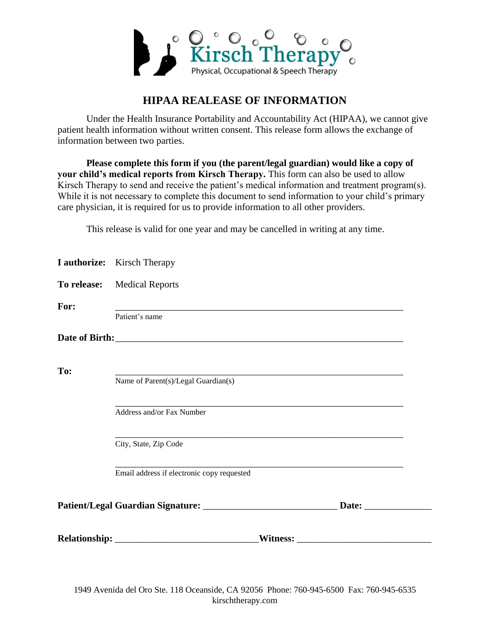

### **HIPAA REALEASE OF INFORMATION**

Under the Health Insurance Portability and Accountability Act (HIPAA), we cannot give patient health information without written consent. This release form allows the exchange of information between two parties.

**Please complete this form if you (the parent/legal guardian) would like a copy of your child's medical reports from Kirsch Therapy.** This form can also be used to allow Kirsch Therapy to send and receive the patient's medical information and treatment program(s). While it is not necessary to complete this document to send information to your child's primary care physician, it is required for us to provide information to all other providers.

This release is valid for one year and may be cancelled in writing at any time.

|      | I authorize: Kirsch Therapy                                                                         |                                                                                                                       |  |
|------|-----------------------------------------------------------------------------------------------------|-----------------------------------------------------------------------------------------------------------------------|--|
|      | To release: Medical Reports                                                                         |                                                                                                                       |  |
| For: | ,我们也不能在这里的时候,我们也不能在这里的时候,我们也不能会在这里的时候,我们也不能会在这里的时候,我们也不能会在这里的时候,我们也不能会在这里的时候,我们也不<br>Patient's name |                                                                                                                       |  |
|      |                                                                                                     |                                                                                                                       |  |
| To:  | Name of Parent(s)/Legal Guardian(s)                                                                 |                                                                                                                       |  |
|      | Address and/or Fax Number                                                                           |                                                                                                                       |  |
|      | City, State, Zip Code                                                                               |                                                                                                                       |  |
|      | Email address if electronic copy requested                                                          | <u> 1989 - Johann John Stein, markin fizik ar yezhoù an den an den an den an den an den an den an den an den an d</u> |  |
|      |                                                                                                     |                                                                                                                       |  |
|      |                                                                                                     |                                                                                                                       |  |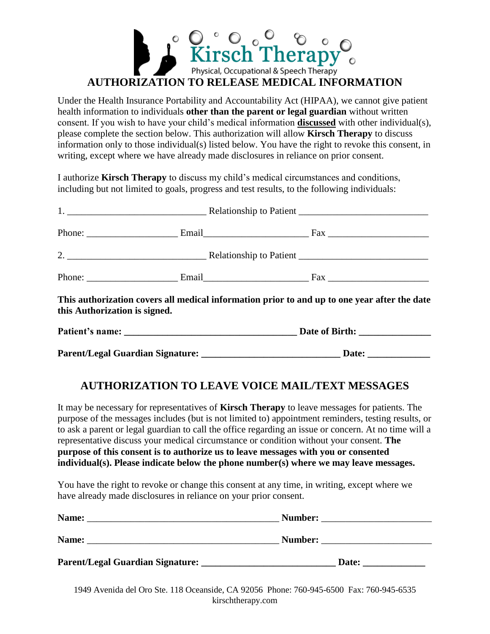# Physical, Occupational & Speech Therapy **AUTHORIZATION TO RELEASE MEDICAL INFORMATION**

Under the Health Insurance Portability and Accountability Act (HIPAA), we cannot give patient health information to individuals **other than the parent or legal guardian** without written consent. If you wish to have your child's medical information **discussed** with other individual(s), please complete the section below. This authorization will allow **Kirsch Therapy** to discuss information only to those individual(s) listed below. You have the right to revoke this consent, in writing, except where we have already made disclosures in reliance on prior consent.

I authorize **Kirsch Therapy** to discuss my child's medical circumstances and conditions, including but not limited to goals, progress and test results, to the following individuals:

| this Authorization is signed.    |  | This authorization covers all medical information prior to and up to one year after the date |  |
|----------------------------------|--|----------------------------------------------------------------------------------------------|--|
|                                  |  |                                                                                              |  |
| Parent/Legal Guardian Signature: |  | Date:                                                                                        |  |

### **AUTHORIZATION TO LEAVE VOICE MAIL/TEXT MESSAGES**

It may be necessary for representatives of **Kirsch Therapy** to leave messages for patients. The purpose of the messages includes (but is not limited to) appointment reminders, testing results, or to ask a parent or legal guardian to call the office regarding an issue or concern. At no time will a representative discuss your medical circumstance or condition without your consent. **The purpose of this consent is to authorize us to leave messages with you or consented individual(s). Please indicate below the phone number(s) where we may leave messages.** 

You have the right to revoke or change this consent at any time, in writing, except where we have already made disclosures in reliance on your prior consent.

| Name:                            | Number: |  |
|----------------------------------|---------|--|
| Name:                            | Number: |  |
| Parent/Legal Guardian Signature: | Date:   |  |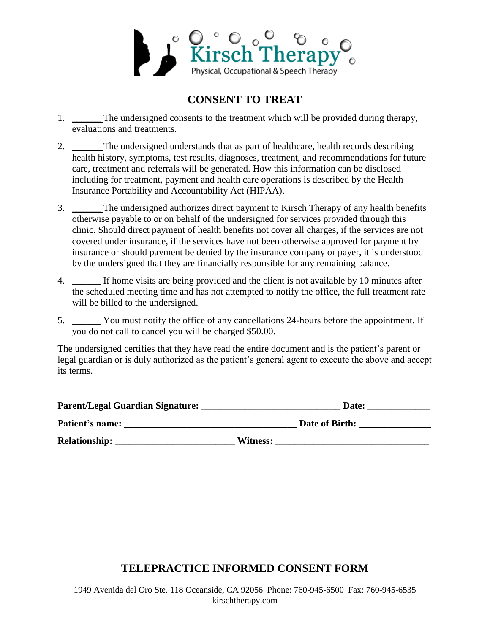

### **CONSENT TO TREAT**

- 1. \_\_\_\_\_\_ The undersigned consents to the treatment which will be provided during therapy, evaluations and treatments.
- 2. \_\_\_\_\_\_ The undersigned understands that as part of healthcare, health records describing health history, symptoms, test results, diagnoses, treatment, and recommendations for future care, treatment and referrals will be generated. How this information can be disclosed including for treatment, payment and health care operations is described by the Health Insurance Portability and Accountability Act (HIPAA).
- 3. \_\_\_\_\_\_ The undersigned authorizes direct payment to Kirsch Therapy of any health benefits otherwise payable to or on behalf of the undersigned for services provided through this clinic. Should direct payment of health benefits not cover all charges, if the services are not covered under insurance, if the services have not been otherwise approved for payment by insurance or should payment be denied by the insurance company or payer, it is understood by the undersigned that they are financially responsible for any remaining balance.
- 4. If home visits are being provided and the client is not available by 10 minutes after the scheduled meeting time and has not attempted to notify the office, the full treatment rate will be billed to the undersigned.
- 5. \_\_\_\_\_\_ You must notify the office of any cancellations 24-hours before the appointment. If you do not call to cancel you will be charged \$50.00.

The undersigned certifies that they have read the entire document and is the patient's parent or legal guardian or is duly authorized as the patient's general agent to execute the above and accept its terms.

| <b>Parent/Legal Guardian Signature:</b> | Date:          |  |
|-----------------------------------------|----------------|--|
| Patient's name:                         | Date of Birth: |  |
| Relationship:                           | Witness:       |  |

### **TELEPRACTICE INFORMED CONSENT FORM**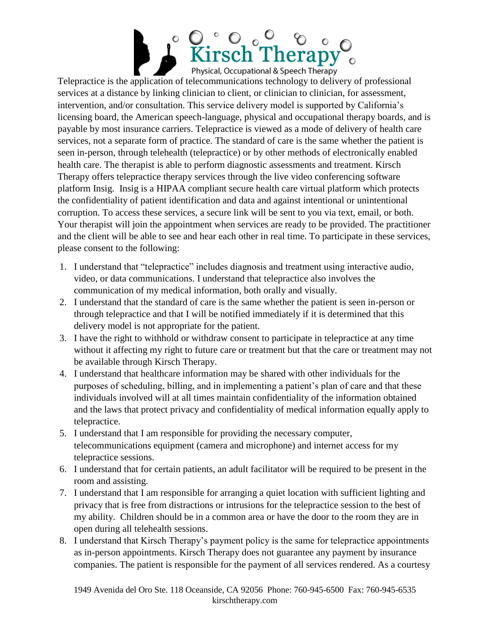

Telepractice is the application of telecommunications technology to delivery of professional services at a distance by linking clinician to client, or clinician to clinician, for assessment, intervention, and/or consultation. This service delivery model is supported by California's licensing board, the American speech-language, physical and occupational therapy boards, and is payable by most insurance carriers. Telepractice is viewed as a mode of delivery of health care services, not a separate form of practice. The standard of care is the same whether the patient is seen in-person, through telehealth (telepractice) or by other methods of electronically enabled health care. The therapist is able to perform diagnostic assessments and treatment. Kirsch Therapy offers telepractice therapy services through the live video conferencing software platform Insig. Insig is a HIPAA compliant secure health care virtual platform which protects the confidentiality of patient identification and data and against intentional or unintentional corruption. To access these services, a secure link will be sent to you via text, email, or both. Your therapist will join the appointment when services are ready to be provided. The practitioner and the client will be able to see and hear each other in real time. To participate in these services, please consent to the following:

- 1. I understand that "telepractice" includes diagnosis and treatment using interactive audio, video, or data communications. I understand that telepractice also involves the communication of my medical information, both orally and visually.
- 2. I understand that the standard of care is the same whether the patient is seen in-person or through telepractice and that I will be notified immediately if it is determined that this delivery model is not appropriate for the patient.
- 3. I have the right to withhold or withdraw consent to participate in telepractice at any time without it affecting my right to future care or treatment but that the care or treatment may not be available through Kirsch Therapy.
- 4. I understand that healthcare information may be shared with other individuals for the purposes of scheduling, billing, and in implementing a patient's plan of care and that these individuals involved will at all times maintain confidentiality of the information obtained and the laws that protect privacy and confidentiality of medical information equally apply to telepractice.
- 5. I understand that I am responsible for providing the necessary computer, telecommunications equipment (camera and microphone) and internet access for my telepractice sessions.
- 6. I understand that for certain patients, an adult facilitator will be required to be present in the room and assisting.
- 7. I understand that I am responsible for arranging a quiet location with sufficient lighting and privacy that is free from distractions or intrusions for the telepractice session to the best of my ability. Children should be in a common area or have the door to the room they are in open during all telehealth sessions.
- 8. I understand that Kirsch Therapy's payment policy is the same for telepractice appointments as in-person appointments. Kirsch Therapy does not guarantee any payment by insurance companies. The patient is responsible for the payment of all services rendered. As a courtesy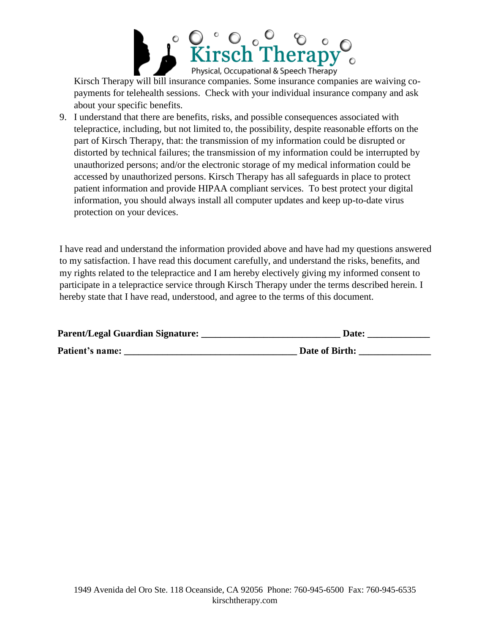

Kirsch Therapy will bill insurance companies. Some insurance companies are waiving copayments for telehealth sessions. Check with your individual insurance company and ask about your specific benefits.

9. I understand that there are benefits, risks, and possible consequences associated with telepractice, including, but not limited to, the possibility, despite reasonable efforts on the part of Kirsch Therapy, that: the transmission of my information could be disrupted or distorted by technical failures; the transmission of my information could be interrupted by unauthorized persons; and/or the electronic storage of my medical information could be accessed by unauthorized persons. Kirsch Therapy has all safeguards in place to protect patient information and provide HIPAA compliant services. To best protect your digital information, you should always install all computer updates and keep up-to-date virus protection on your devices.

I have read and understand the information provided above and have had my questions answered to my satisfaction. I have read this document carefully, and understand the risks, benefits, and my rights related to the telepractice and I am hereby electively giving my informed consent to participate in a telepractice service through Kirsch Therapy under the terms described herein. I hereby state that I have read, understood, and agree to the terms of this document.

| <b>Parent/Legal Guardian Signature:</b> | Date:          |
|-----------------------------------------|----------------|
| Patient's name:                         | Date of Birth: |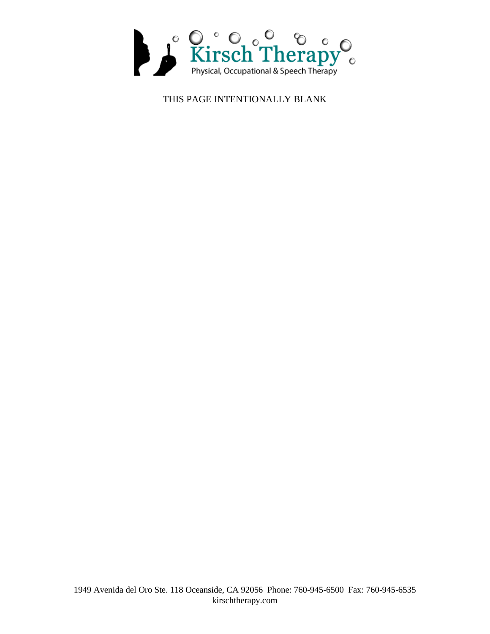

THIS PAGE INTENTIONALLY BLANK